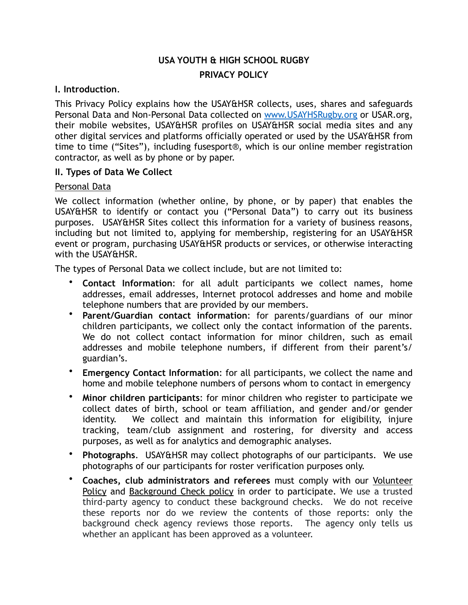# **USA YOUTH & HIGH SCHOOL RUGBY PRIVACY POLICY**

#### **I. Introduction**.

This Privacy Policy explains how the USAY&HSR collects, uses, shares and safeguards Personal Data and Non-Personal Data collected on [www.USAYHSRugby.org](http://www.USAYHSRugby.org) or USAR.org, their mobile websites, USAY&HSR profiles on USAY&HSR social media sites and any other digital services and platforms officially operated or used by the USAY&HSR from time to time ("Sites"), including fusesport®, which is our online member registration contractor, as well as by phone or by paper.

#### **II. Types of Data We Collect**

#### Personal Data

We collect information (whether online, by phone, or by paper) that enables the USAY&HSR to identify or contact you ("Personal Data") to carry out its business purposes. USAY&HSR Sites collect this information for a variety of business reasons, including but not limited to, applying for membership, registering for an USAY&HSR event or program, purchasing USAY&HSR products or services, or otherwise interacting with the USAY&HSR.

The types of Personal Data we collect include, but are not limited to:

- **Contact Information**: for all adult participants we collect names, home addresses, email addresses, Internet protocol addresses and home and mobile telephone numbers that are provided by our members.
- **Parent/Guardian contact information**: for parents/guardians of our minor children participants, we collect only the contact information of the parents. We do not collect contact information for minor children, such as email addresses and mobile telephone numbers, if different from their parent's/ guardian's.
- **Emergency Contact Information**: for all participants, we collect the name and home and mobile telephone numbers of persons whom to contact in emergency
- **Minor children participants**: for minor children who register to participate we collect dates of birth, school or team affiliation, and gender and/or gender identity. We collect and maintain this information for eligibility, injure tracking, team/club assignment and rostering, for diversity and access purposes, as well as for analytics and demographic analyses.
- **Photographs**. USAY&HSR may collect photographs of our participants. We use photographs of our participants for roster verification purposes only.
- **Coaches, club administrators and referees** must comply with our Volunteer Policy and Background Check policy in order to participate. We use a trusted third-party agency to conduct these background checks. We do not receive these reports nor do we review the contents of those reports: only the background check agency reviews those reports. The agency only tells us whether an applicant has been approved as a volunteer.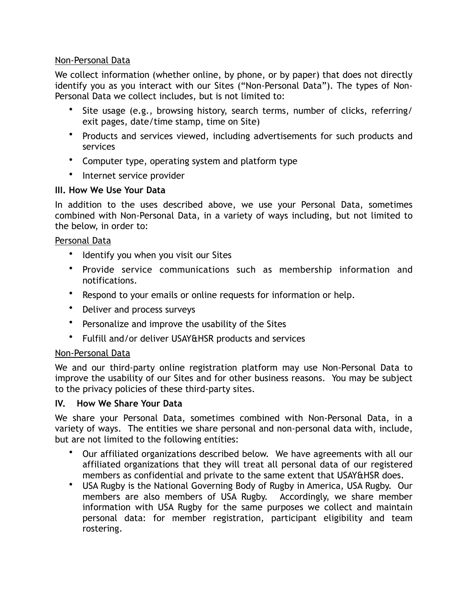# Non-Personal Data

We collect information (whether online, by phone, or by paper) that does not directly identify you as you interact with our Sites ("Non-Personal Data"). The types of Non-Personal Data we collect includes, but is not limited to:

- Site usage (e.g., browsing history, search terms, number of clicks, referring/ exit pages, date/time stamp, time on Site)
- Products and services viewed, including advertisements for such products and services
- Computer type, operating system and platform type
- Internet service provider

# **III. How We Use Your Data**

In addition to the uses described above, we use your Personal Data, sometimes combined with Non-Personal Data, in a variety of ways including, but not limited to the below, in order to:

#### Personal Data

- Identify you when you visit our Sites
- Provide service communications such as membership information and notifications.
- Respond to your emails or online requests for information or help.
- Deliver and process surveys
- Personalize and improve the usability of the Sites
- Fulfill and/or deliver USAY&HSR products and services

# Non-Personal Data

We and our third-party online registration platform may use Non-Personal Data to improve the usability of our Sites and for other business reasons. You may be subject to the privacy policies of these third-party sites.

#### **IV. How We Share Your Data**

We share your Personal Data, sometimes combined with Non-Personal Data, in a variety of ways. The entities we share personal and non-personal data with, include, but are not limited to the following entities:

- Our affiliated organizations described below. We have agreements with all our affiliated organizations that they will treat all personal data of our registered members as confidential and private to the same extent that USAY&HSR does.
- USA Rugby is the National Governing Body of Rugby in America, USA Rugby. Our members are also members of USA Rugby. Accordingly, we share member information with USA Rugby for the same purposes we collect and maintain personal data: for member registration, participant eligibility and team rostering.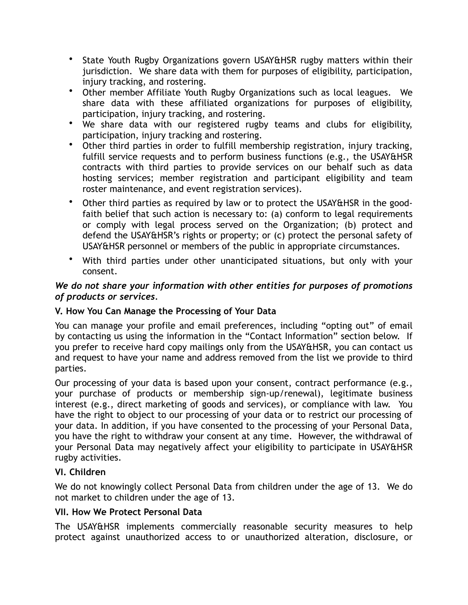- State Youth Rugby Organizations govern USAY&HSR rugby matters within their jurisdiction. We share data with them for purposes of eligibility, participation, injury tracking, and rostering.
- Other member Affiliate Youth Rugby Organizations such as local leagues. We share data with these affiliated organizations for purposes of eligibility, participation, injury tracking, and rostering.
- We share data with our registered rugby teams and clubs for eligibility, participation, injury tracking and rostering.
- Other third parties in order to fulfill membership registration, injury tracking, fulfill service requests and to perform business functions (e.g., the USAY&HSR contracts with third parties to provide services on our behalf such as data hosting services; member registration and participant eligibility and team roster maintenance, and event registration services).
- Other third parties as required by law or to protect the USAY&HSR in the goodfaith belief that such action is necessary to: (a) conform to legal requirements or comply with legal process served on the Organization; (b) protect and defend the USAY&HSR's rights or property; or (c) protect the personal safety of USAY&HSR personnel or members of the public in appropriate circumstances.
- With third parties under other unanticipated situations, but only with your consent.

# *We do not share your information with other entities for purposes of promotions of products or services.*

# **V. How You Can Manage the Processing of Your Data**

You can manage your profile and email preferences, including "opting out" of email by contacting us using the information in the "Contact Information" section below. If you prefer to receive hard copy mailings only from the USAY&HSR, you can contact us and request to have your name and address removed from the list we provide to third parties.

Our processing of your data is based upon your consent, contract performance (e.g., your purchase of products or membership sign-up/renewal), legitimate business interest (e.g., direct marketing of goods and services), or compliance with law. You have the right to object to our processing of your data or to restrict our processing of your data. In addition, if you have consented to the processing of your Personal Data, you have the right to withdraw your consent at any time. However, the withdrawal of your Personal Data may negatively affect your eligibility to participate in USAY&HSR rugby activities.

# **VI. Children**

We do not knowingly collect Personal Data from children under the age of 13. We do not market to children under the age of 13.

# **VII. How We Protect Personal Data**

The USAY&HSR implements commercially reasonable security measures to help protect against unauthorized access to or unauthorized alteration, disclosure, or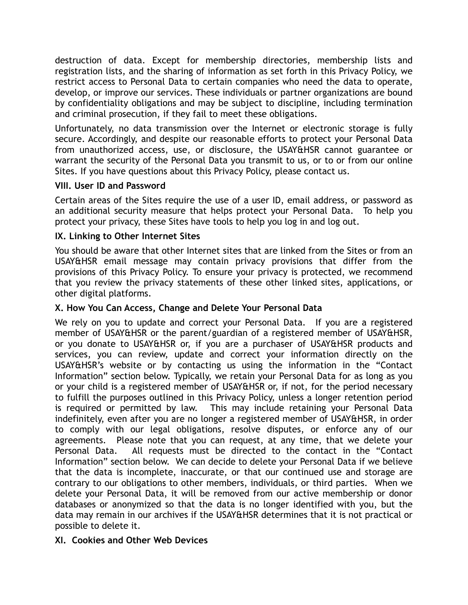destruction of data. Except for membership directories, membership lists and registration lists, and the sharing of information as set forth in this Privacy Policy, we restrict access to Personal Data to certain companies who need the data to operate, develop, or improve our services. These individuals or partner organizations are bound by confidentiality obligations and may be subject to discipline, including termination and criminal prosecution, if they fail to meet these obligations.

Unfortunately, no data transmission over the Internet or electronic storage is fully secure. Accordingly, and despite our reasonable efforts to protect your Personal Data from unauthorized access, use, or disclosure, the USAY&HSR cannot guarantee or warrant the security of the Personal Data you transmit to us, or to or from our online Sites. If you have questions about this Privacy Policy, please contact us.

# **VIII. User ID and Password**

Certain areas of the Sites require the use of a user ID, email address, or password as an additional security measure that helps protect your Personal Data. To help you protect your privacy, these Sites have tools to help you log in and log out.

#### **IX. Linking to Other Internet Sites**

You should be aware that other Internet sites that are linked from the Sites or from an USAY&HSR email message may contain privacy provisions that differ from the provisions of this Privacy Policy. To ensure your privacy is protected, we recommend that you review the privacy statements of these other linked sites, applications, or other digital platforms.

#### **X. How You Can Access, Change and Delete Your Personal Data**

We rely on you to update and correct your Personal Data. If you are a registered member of USAY&HSR or the parent/guardian of a registered member of USAY&HSR, or you donate to USAY&HSR or, if you are a purchaser of USAY&HSR products and services, you can review, update and correct your information directly on the USAY&HSR's website or by contacting us using the information in the "Contact Information" section below. Typically, we retain your Personal Data for as long as you or your child is a registered member of USAY&HSR or, if not, for the period necessary to fulfill the purposes outlined in this Privacy Policy, unless a longer retention period is required or permitted by law. This may include retaining your Personal Data indefinitely, even after you are no longer a registered member of USAY&HSR, in order to comply with our legal obligations, resolve disputes, or enforce any of our agreements. Please note that you can request, at any time, that we delete your Personal Data. All requests must be directed to the contact in the "Contact Information" section below. We can decide to delete your Personal Data if we believe that the data is incomplete, inaccurate, or that our continued use and storage are contrary to our obligations to other members, individuals, or third parties. When we delete your Personal Data, it will be removed from our active membership or donor databases or anonymized so that the data is no longer identified with you, but the data may remain in our archives if the USAY&HSR determines that it is not practical or possible to delete it.

# **XI. Cookies and Other Web Devices**